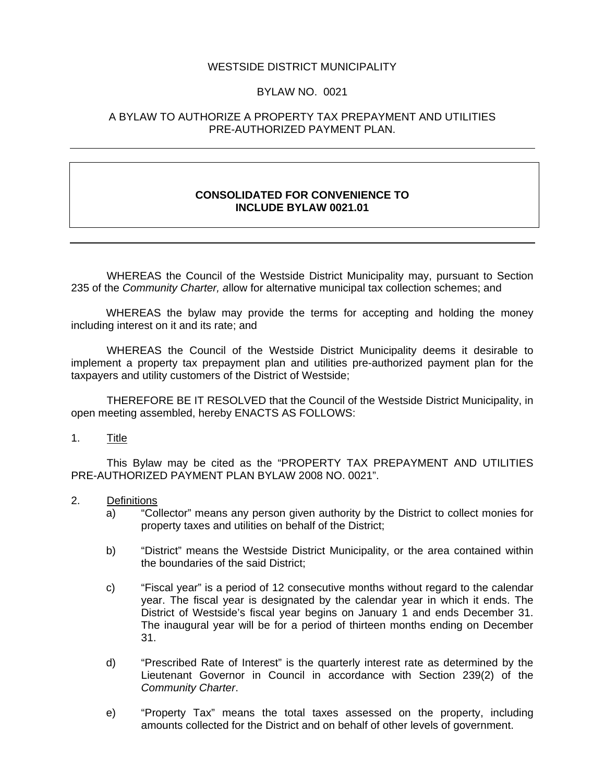#### WESTSIDE DISTRICT MUNICIPALITY

### BYLAW NO. 0021

#### A BYLAW TO AUTHORIZE A PROPERTY TAX PREPAYMENT AND UTILITIES PRE-AUTHORIZED PAYMENT PLAN.

#### **CONSOLIDATED FOR CONVENIENCE TO INCLUDE BYLAW 0021.01**

 WHEREAS the Council of the Westside District Municipality may, pursuant to Section 235 of the *Community Charter, a*llow for alternative municipal tax collection schemes; and

WHEREAS the bylaw may provide the terms for accepting and holding the money including interest on it and its rate; and

 WHEREAS the Council of the Westside District Municipality deems it desirable to implement a property tax prepayment plan and utilities pre-authorized payment plan for the taxpayers and utility customers of the District of Westside;

 THEREFORE BE IT RESOLVED that the Council of the Westside District Municipality, in open meeting assembled, hereby ENACTS AS FOLLOWS:

#### 1. Title

 This Bylaw may be cited as the "PROPERTY TAX PREPAYMENT AND UTILITIES PRE-AUTHORIZED PAYMENT PLAN BYLAW 2008 NO. 0021".

- 2. Definitions
	- a) "Collector" means any person given authority by the District to collect monies for property taxes and utilities on behalf of the District;
	- b) "District" means the Westside District Municipality, or the area contained within the boundaries of the said District;
	- c) "Fiscal year" is a period of 12 consecutive months without regard to the calendar year. The fiscal year is designated by the calendar year in which it ends. The District of Westside's fiscal year begins on January 1 and ends December 31. The inaugural year will be for a period of thirteen months ending on December 31.
	- d) "Prescribed Rate of Interest" is the quarterly interest rate as determined by the Lieutenant Governor in Council in accordance with Section 239(2) of the *Community Charter*.
	- e) "Property Tax" means the total taxes assessed on the property, including amounts collected for the District and on behalf of other levels of government.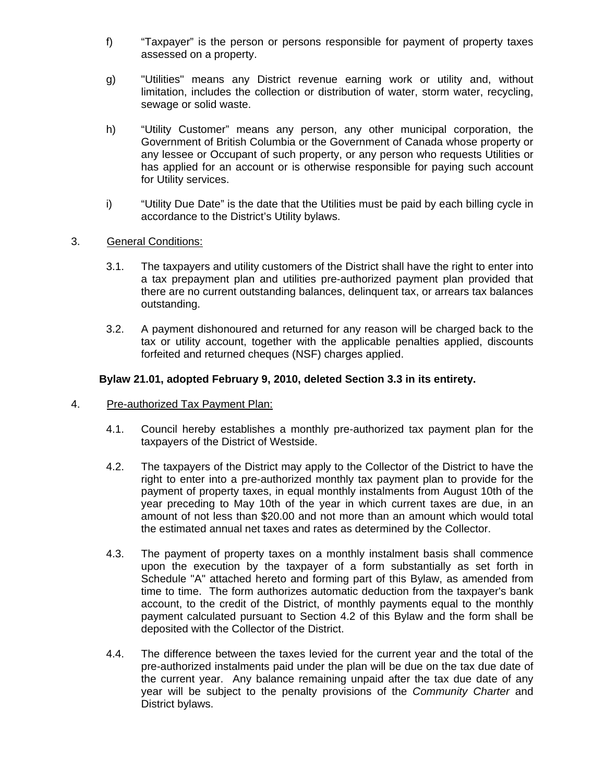- f) "Taxpayer" is the person or persons responsible for payment of property taxes assessed on a property.
- g) "Utilities" means any District revenue earning work or utility and, without limitation, includes the collection or distribution of water, storm water, recycling, sewage or solid waste.
- h) "Utility Customer" means any person, any other municipal corporation, the Government of British Columbia or the Government of Canada whose property or any lessee or Occupant of such property, or any person who requests Utilities or has applied for an account or is otherwise responsible for paying such account for Utility services.
- i) "Utility Due Date" is the date that the Utilities must be paid by each billing cycle in accordance to the District's Utility bylaws.

## 3. General Conditions:

- 3.1. The taxpayers and utility customers of the District shall have the right to enter into a tax prepayment plan and utilities pre-authorized payment plan provided that there are no current outstanding balances, delinquent tax, or arrears tax balances outstanding.
- 3.2. A payment dishonoured and returned for any reason will be charged back to the tax or utility account, together with the applicable penalties applied, discounts forfeited and returned cheques (NSF) charges applied.

#### **Bylaw 21.01, adopted February 9, 2010, deleted Section 3.3 in its entirety.**

- 4. Pre-authorized Tax Payment Plan:
	- 4.1. Council hereby establishes a monthly pre-authorized tax payment plan for the taxpayers of the District of Westside.
	- 4.2. The taxpayers of the District may apply to the Collector of the District to have the right to enter into a pre-authorized monthly tax payment plan to provide for the payment of property taxes, in equal monthly instalments from August 10th of the year preceding to May 10th of the year in which current taxes are due, in an amount of not less than \$20.00 and not more than an amount which would total the estimated annual net taxes and rates as determined by the Collector.
	- 4.3. The payment of property taxes on a monthly instalment basis shall commence upon the execution by the taxpayer of a form substantially as set forth in Schedule "A" attached hereto and forming part of this Bylaw, as amended from time to time. The form authorizes automatic deduction from the taxpayer's bank account, to the credit of the District, of monthly payments equal to the monthly payment calculated pursuant to Section 4.2 of this Bylaw and the form shall be deposited with the Collector of the District.
	- 4.4. The difference between the taxes levied for the current year and the total of the pre-authorized instalments paid under the plan will be due on the tax due date of the current year. Any balance remaining unpaid after the tax due date of any year will be subject to the penalty provisions of the *Community Charter* and District bylaws.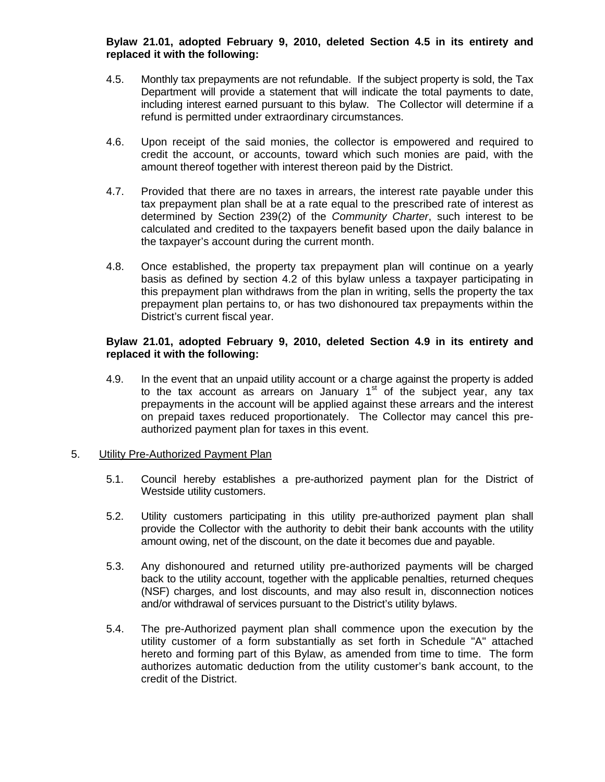## **Bylaw 21.01, adopted February 9, 2010, deleted Section 4.5 in its entirety and replaced it with the following:**

- 4.5. Monthly tax prepayments are not refundable. If the subject property is sold, the Tax Department will provide a statement that will indicate the total payments to date, including interest earned pursuant to this bylaw. The Collector will determine if a refund is permitted under extraordinary circumstances.
- 4.6. Upon receipt of the said monies, the collector is empowered and required to credit the account, or accounts, toward which such monies are paid, with the amount thereof together with interest thereon paid by the District.
- 4.7. Provided that there are no taxes in arrears, the interest rate payable under this tax prepayment plan shall be at a rate equal to the prescribed rate of interest as determined by Section 239(2) of the *Community Charter*, such interest to be calculated and credited to the taxpayers benefit based upon the daily balance in the taxpayer's account during the current month.
- 4.8. Once established, the property tax prepayment plan will continue on a yearly basis as defined by section 4.2 of this bylaw unless a taxpayer participating in this prepayment plan withdraws from the plan in writing, sells the property the tax prepayment plan pertains to, or has two dishonoured tax prepayments within the District's current fiscal year.

### **Bylaw 21.01, adopted February 9, 2010, deleted Section 4.9 in its entirety and replaced it with the following:**

4.9. In the event that an unpaid utility account or a charge against the property is added to the tax account as arrears on January  $1<sup>st</sup>$  of the subject year, any tax prepayments in the account will be applied against these arrears and the interest on prepaid taxes reduced proportionately. The Collector may cancel this preauthorized payment plan for taxes in this event.

#### 5. Utility Pre-Authorized Payment Plan

- 5.1. Council hereby establishes a pre-authorized payment plan for the District of Westside utility customers.
- 5.2. Utility customers participating in this utility pre-authorized payment plan shall provide the Collector with the authority to debit their bank accounts with the utility amount owing, net of the discount, on the date it becomes due and payable.
- 5.3. Any dishonoured and returned utility pre-authorized payments will be charged back to the utility account, together with the applicable penalties, returned cheques (NSF) charges, and lost discounts, and may also result in, disconnection notices and/or withdrawal of services pursuant to the District's utility bylaws.
- 5.4. The pre-Authorized payment plan shall commence upon the execution by the utility customer of a form substantially as set forth in Schedule "A" attached hereto and forming part of this Bylaw, as amended from time to time. The form authorizes automatic deduction from the utility customer's bank account, to the credit of the District.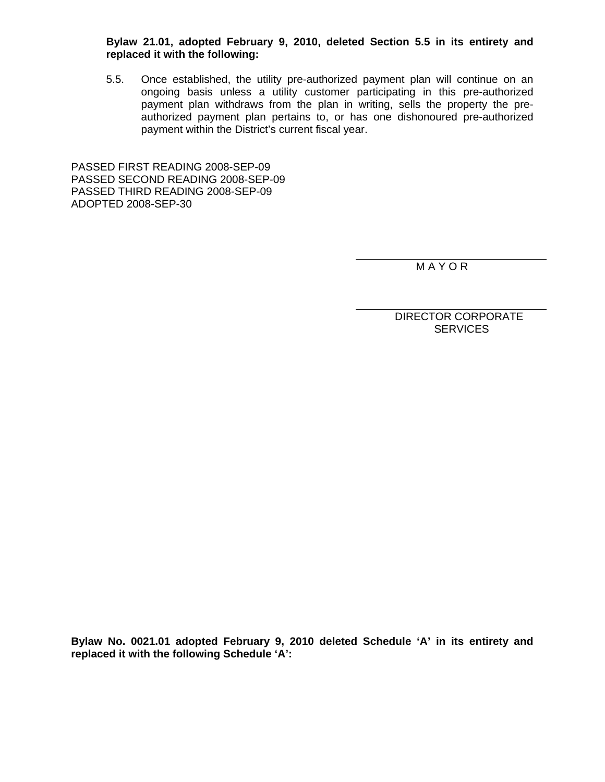**Bylaw 21.01, adopted February 9, 2010, deleted Section 5.5 in its entirety and replaced it with the following:**

5.5. Once established, the utility pre-authorized payment plan will continue on an ongoing basis unless a utility customer participating in this pre-authorized payment plan withdraws from the plan in writing, sells the property the preauthorized payment plan pertains to, or has one dishonoured pre-authorized payment within the District's current fiscal year.

PASSED FIRST READING 2008-SEP-09 PASSED SECOND READING 2008-SEP-09 PASSED THIRD READING 2008-SEP-09 ADOPTED 2008-SEP-30

M A Y O R

 DIRECTOR CORPORATE **SERVICES** 

**Bylaw No. 0021.01 adopted February 9, 2010 deleted Schedule 'A' in its entirety and replaced it with the following Schedule 'A':**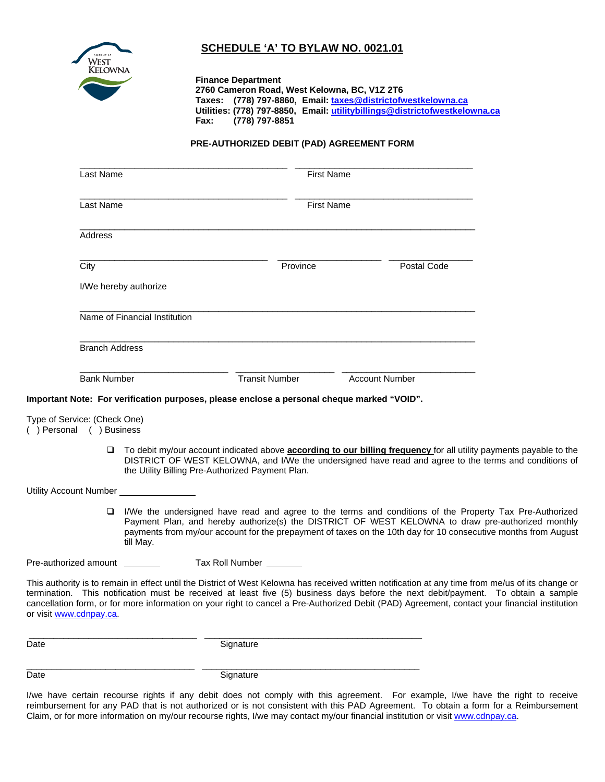

# **SCHEDULE 'A' TO BYLAW NO. 0021.01**

**Finance Department 2760 Cameron Road, West Kelowna, BC, V1Z 2T6 Taxes: (778) 797-8860, Email: taxes@districtofwestkelowna.ca Utilities: (778) 797-8850, Email: utilitybillings@districtofwestkelowna.ca Fax: (778) 797-8851** 

#### **PRE-AUTHORIZED DEBIT (PAD) AGREEMENT FORM**

|                                                                                                                                                                                                                                                                                                                                               | Last Name                     |                                                                                            | <b>First Name</b>     |                   |                       |  |
|-----------------------------------------------------------------------------------------------------------------------------------------------------------------------------------------------------------------------------------------------------------------------------------------------------------------------------------------------|-------------------------------|--------------------------------------------------------------------------------------------|-----------------------|-------------------|-----------------------|--|
|                                                                                                                                                                                                                                                                                                                                               | Last Name                     |                                                                                            |                       | <b>First Name</b> |                       |  |
|                                                                                                                                                                                                                                                                                                                                               | Address                       |                                                                                            |                       |                   |                       |  |
|                                                                                                                                                                                                                                                                                                                                               | City                          |                                                                                            | Province              |                   | Postal Code           |  |
|                                                                                                                                                                                                                                                                                                                                               |                               | I/We hereby authorize                                                                      |                       |                   |                       |  |
|                                                                                                                                                                                                                                                                                                                                               | Name of Financial Institution |                                                                                            |                       |                   |                       |  |
|                                                                                                                                                                                                                                                                                                                                               | <b>Branch Address</b>         |                                                                                            |                       |                   |                       |  |
|                                                                                                                                                                                                                                                                                                                                               | <b>Bank Number</b>            |                                                                                            | <b>Transit Number</b> |                   | <b>Account Number</b> |  |
|                                                                                                                                                                                                                                                                                                                                               |                               | Important Note: For verification purposes, please enclose a personal cheque marked "VOID". |                       |                   |                       |  |
| Type of Service: (Check One)<br>() Personal () Business                                                                                                                                                                                                                                                                                       |                               |                                                                                            |                       |                   |                       |  |
| To debit my/our account indicated above <b>according to our billing frequency</b> for all utility payments payable to the<br>$\Box$<br>DISTRICT OF WEST KELOWNA, and I/We the undersigned have read and agree to the terms and conditions of<br>the Utility Billing Pre-Authorized Payment Plan.                                              |                               |                                                                                            |                       |                   |                       |  |
| Utility Account Number                                                                                                                                                                                                                                                                                                                        |                               |                                                                                            |                       |                   |                       |  |
| □ I/We the undersigned have read and agree to the terms and conditions of the Property Tax Pre-Authorized<br>Payment Plan, and hereby authorize(s) the DISTRICT OF WEST KELOWNA to draw pre-authorized monthly<br>payments from my/our account for the prepayment of taxes on the 10th day for 10 consecutive months from August<br>till May. |                               |                                                                                            |                       |                   |                       |  |

Pre-authorized amount Tax Roll Number

This authority is to remain in effect until the District of West Kelowna has received written notification at any time from me/us of its change or termination. This notification must be received at least five (5) business days before the next debit/payment. To obtain a sample cancellation form, or for more information on your right to cancel a Pre-Authorized Debit (PAD) Agreement, contact your financial institution or visit www.cdnpay.ca.

\_\_\_\_\_\_\_\_\_\_\_\_\_\_\_\_\_\_\_\_\_\_\_\_\_\_\_\_\_\_\_\_\_\_ \_\_\_\_\_\_\_\_\_\_\_\_\_\_\_\_\_\_\_\_\_\_\_\_\_\_\_\_\_\_\_\_\_\_\_\_\_\_\_\_\_\_\_\_

Date Signature

\_\_\_\_\_\_\_\_\_\_\_\_\_\_\_\_\_\_\_\_\_\_\_\_\_\_\_\_\_\_\_\_\_\_ \_\_\_\_\_\_\_\_\_\_\_\_\_\_\_\_\_\_\_\_\_\_\_\_\_\_\_\_\_\_\_\_\_\_\_\_\_\_\_\_\_\_\_\_

Date Signature

I/we have certain recourse rights if any debit does not comply with this agreement. For example, I/we have the right to receive reimbursement for any PAD that is not authorized or is not consistent with this PAD Agreement. To obtain a form for a Reimbursement Claim, or for more information on my/our recourse rights, I/we may contact my/our financial institution or visit www.cdnpay.ca.